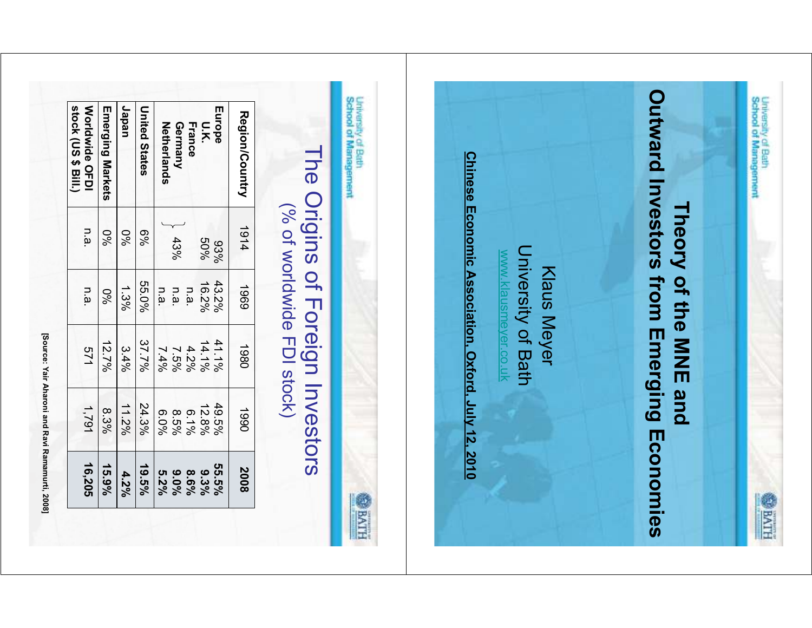|                                            |                                  | <b>Klaus Meyer</b> | <b>Jniversity of Bath</b><br>www.klausmeyer.co.uk | Chinese Economic Association, Oxford, July 12, 2010 |                         |
|--------------------------------------------|----------------------------------|--------------------|---------------------------------------------------|-----------------------------------------------------|-------------------------|
| University of Bath<br>School of Management |                                  |                    |                                                   |                                                     |                         |
|                                            | (% of worldwide FDI stock)       |                    |                                                   | The Origins of Foreign Investors                    |                         |
| Region/Country                             | 1914                             | 1969               | 1980                                              | 1990                                                |                         |
| Europe                                     | 93%                              | 43.2%              | 41.1%                                             | 49.5%                                               | 55.5%<br>2008<br>HIVE @ |
| U.K.<br>France                             | $50\%$                           | 16.2%              | 14.1%<br>4.2%                                     | 12.8%<br>$6.1\%$                                    | 9.3%                    |
| Netherlands<br>Germany                     | 43%                              | n.a.<br>n.a.       | $7.5\%$                                           | 8.5%                                                | 9.0%<br>8.6%            |
|                                            |                                  | n.a.               | 7.4%                                              | 6.0%                                                | 5.2%                    |
| Japan<br><b>United States</b>              | $6\%$                            | 55.0%<br>1.3%      | 37.7%<br>3.4%                                     | 24.3%<br>11.2%                                      | 19.5%<br>4.2%           |
| Emerging Markets                           | 0 <sub>6</sub><br>0 <sub>6</sub> | $\%0$              | 12.7%                                             | 8.3%                                                | 15.9%                   |

University of Bath<br>School of Management

**ELLIPTE**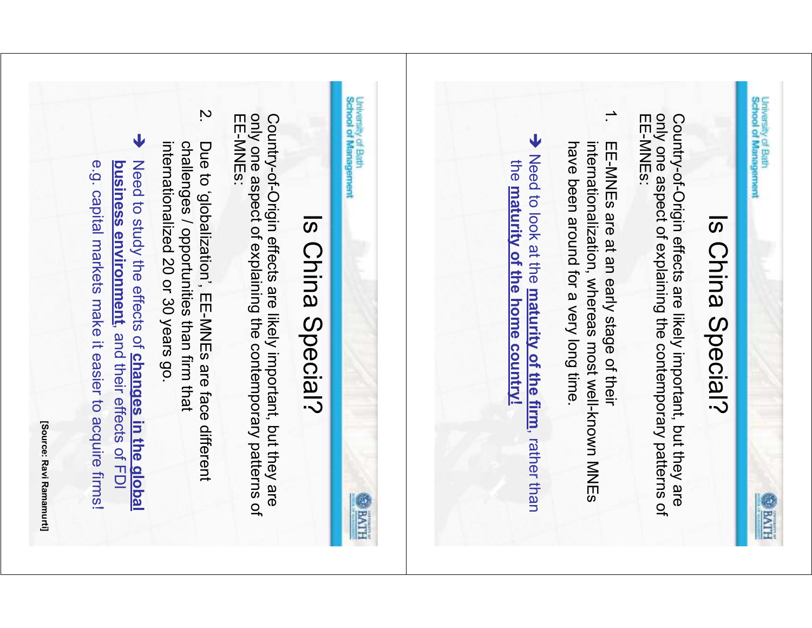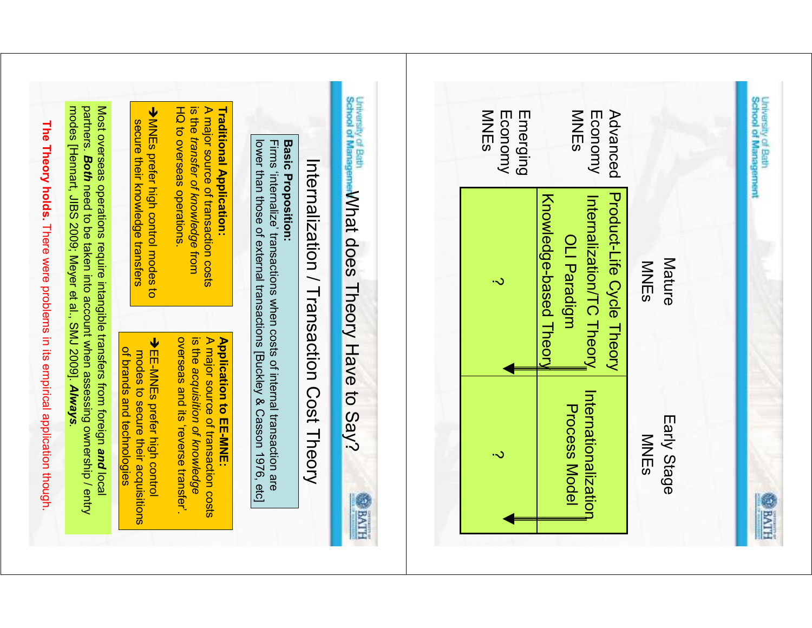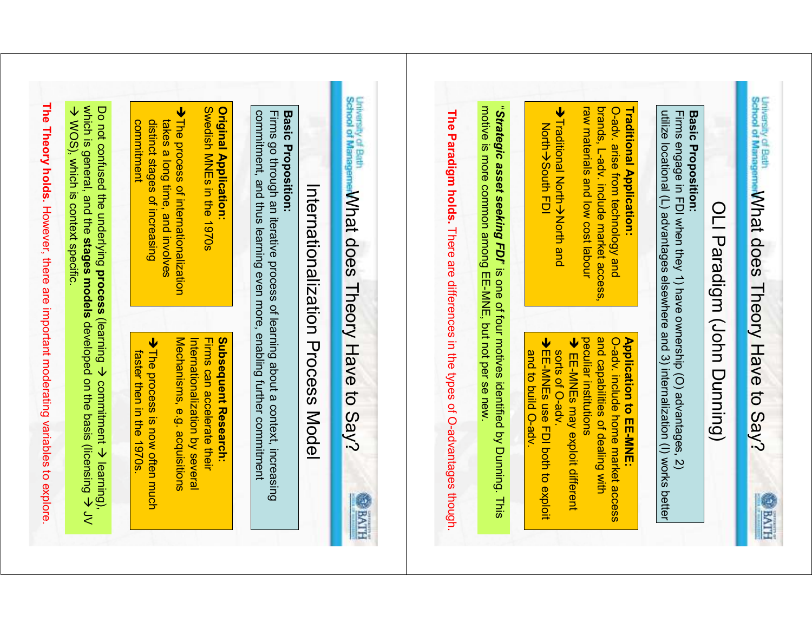| which is general, and the stages models developed on the basis (licensing $\rightarrow$ JV<br>Do not confused the underlying process (learning $\rightarrow$ commitment $\rightarrow$ learning),<br>→ WOS), which is context specific. | <b>Solish NNEs in the 1970s</b><br><b>Original Application:</b><br>→ The process of internationalization<br>takes a long time, and involves<br>distinct stages of increasing<br>commitment<br>Mechanisms, e.g. acquisitions<br>→ The process is now often much<br>Internationalization by several<br>Subsequent Research:<br>Firms can accelerate their<br>faster then in the 1970s | commitment, and thus learning even more, enabling further commitment<br><b>Basic Proposition:</b><br>Firms go through an iterative process of learning about a context, increasing<br>Internationalization Process Model | University of Bath M/hat does Theory Have to Say?<br>The Paradigm holds. There are differences in the types of O-advantages though.<br><b>HIVE @</b> | "Strategic asset seeking FDI" is one of four motives identified by Duning. This<br>motive is more common among EE-MNE, but not per se new | raw materials and low cost labour<br>brands, L-ady. include market access,<br>Traditional Application:<br>→ Traditional North <del>&gt;</del> North and<br>O-adv. arise from technology and<br><b>North→South FDI</b><br>peculiar institutions<br>and capabilities of dealing with<br>→ EE-MNEs use FDI both to exploit<br><b>Application to EE-MNE:</b><br><b>→ EE-MNEs may exploit different</b><br>O-adv. include home market access<br>sorts of O-adv.<br>and to build O-adv. | utilize locational (L) advantages elsewhere and 3) internalization (I) works better<br><b>Basic</b><br>Firms engage in FDI when they 1) have ownership (O) advantages, 2)<br><b>Proposition:</b> | University of Bath MV MOGS Theory Have to Say?<br>OLI Paradigm (John Dunning) |
|----------------------------------------------------------------------------------------------------------------------------------------------------------------------------------------------------------------------------------------|-------------------------------------------------------------------------------------------------------------------------------------------------------------------------------------------------------------------------------------------------------------------------------------------------------------------------------------------------------------------------------------|--------------------------------------------------------------------------------------------------------------------------------------------------------------------------------------------------------------------------|------------------------------------------------------------------------------------------------------------------------------------------------------|-------------------------------------------------------------------------------------------------------------------------------------------|-----------------------------------------------------------------------------------------------------------------------------------------------------------------------------------------------------------------------------------------------------------------------------------------------------------------------------------------------------------------------------------------------------------------------------------------------------------------------------------|--------------------------------------------------------------------------------------------------------------------------------------------------------------------------------------------------|-------------------------------------------------------------------------------|
|----------------------------------------------------------------------------------------------------------------------------------------------------------------------------------------------------------------------------------------|-------------------------------------------------------------------------------------------------------------------------------------------------------------------------------------------------------------------------------------------------------------------------------------------------------------------------------------------------------------------------------------|--------------------------------------------------------------------------------------------------------------------------------------------------------------------------------------------------------------------------|------------------------------------------------------------------------------------------------------------------------------------------------------|-------------------------------------------------------------------------------------------------------------------------------------------|-----------------------------------------------------------------------------------------------------------------------------------------------------------------------------------------------------------------------------------------------------------------------------------------------------------------------------------------------------------------------------------------------------------------------------------------------------------------------------------|--------------------------------------------------------------------------------------------------------------------------------------------------------------------------------------------------|-------------------------------------------------------------------------------|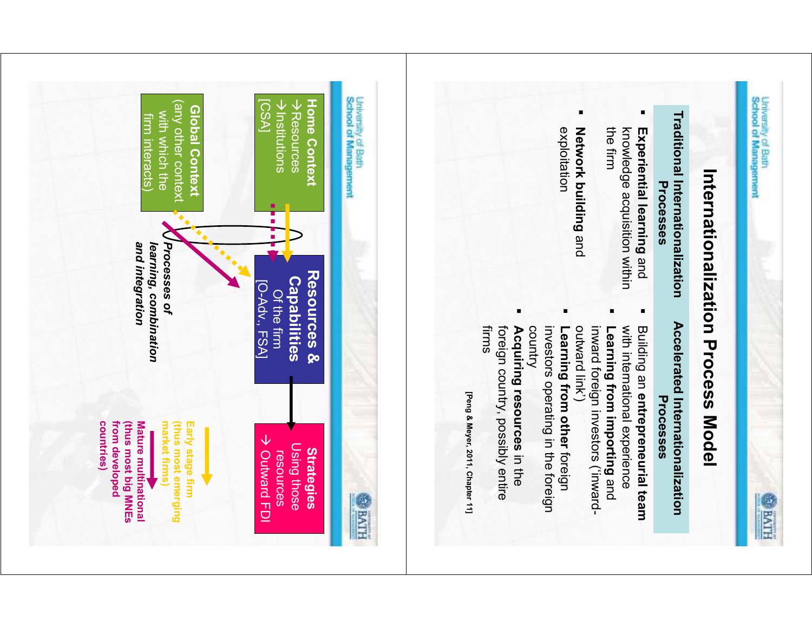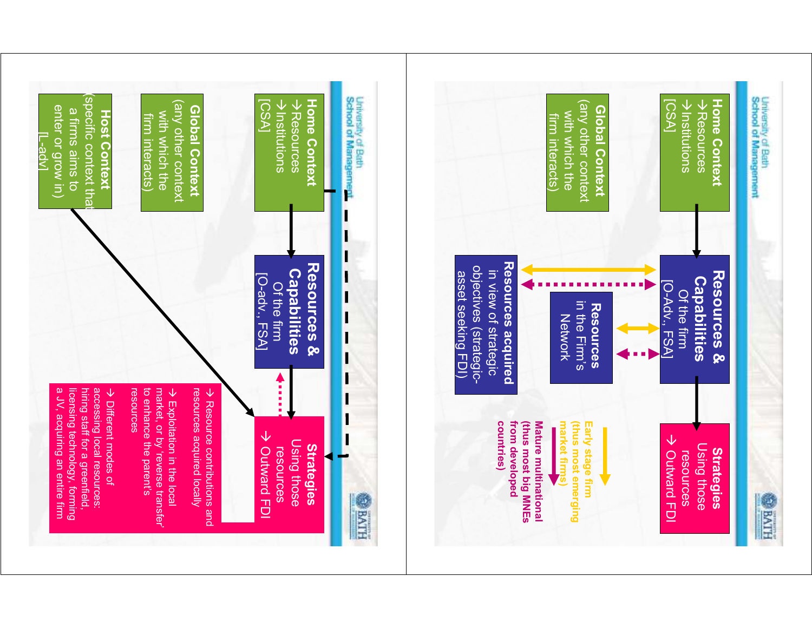